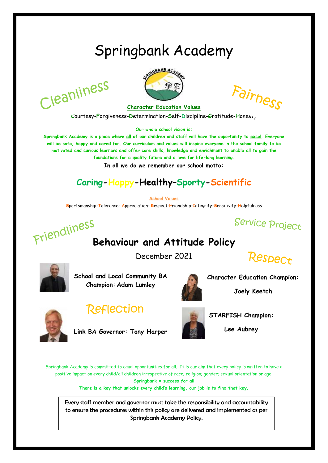## Springbank Academy

Cleanliness



Fairness

**Character Education Values Courtesy-Forgiveness-Determination-Self-Discipline-Gratitude-Hones,** 

**Our whole school vision is:**

**Springbank Academy is a place where all of our children and staff will have the opportunity to excel. Everyone will be safe, happy and cared for. Our curriculum and values will inspire everyone in the school family to be motivated and curious learners and offer core skills, knowledge and enrichment to enable all to gain the foundations for a quality future and a love for life-long learning.**

**In all we do we remember our school motto:**

## **Caring-Happy-Healthy–Sporty-Scientific**

**School Values**

**S**portsmanship-**T**olerance- **A**ppreciation- **R**espect-**F**riendship-**I**ntegrity-**S**ensitivity-**H**elpfulness



# **Behaviour and Attitude Policy**

December 2021





**School and Local Community BA Champion: Adam Lumley**



**Character Education Champion:** 



## **Reflection**

**Link BA Governor: Tony Harper** 



**Joely Keetch**



**STARFISH Champion:** 

**Lee Aubrey** 

Springbank Academy is committed to equal opportunities for all. It is our aim that every policy is written to have a positive impact on every child/all children irrespective of race; religion; gender; sexual orientation or age. **Springbank = success for all**

**There is a key that unlocks every child's learning, our job is to find that key.**

Every staff member and governor must take the responsibility and accountability to ensure the procedures within this policy are delivered and implemented as per Springbank Academy Policy.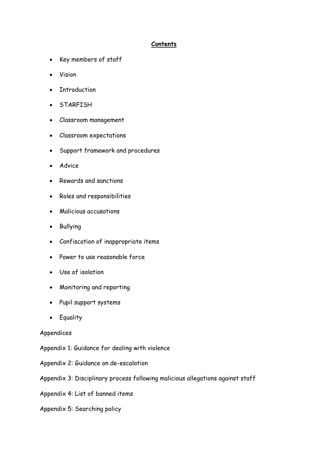#### **Contents**

- Key members of staff
- Vision
- Introduction
- STARFISH
- Classroom management
- Classroom expectations
- Support framework and procedures
- Advice
- Rewards and sanctions
- Roles and responsibilities
- Malicious accusations
- Bullying
- Confiscation of inappropriate items
- Power to use reasonable force
- Use of isolation
- Monitoring and reporting
- Pupil support systems
- Equality

#### Appendices

- Appendix 1: Guidance for dealing with violence
- Appendix 2: Guidance on de-escalation
- Appendix 3: Disciplinary process following malicious allegations against staff
- Appendix 4: List of banned items
- Appendix 5: Searching policy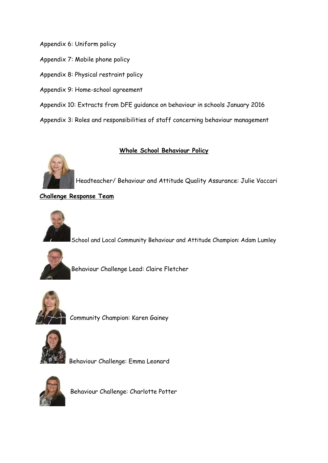Appendix 6: Uniform policy

Appendix 7: Mobile phone policy

Appendix 8: Physical restraint policy

Appendix 9: Home-school agreement

Appendix 10: Extracts from DFE guidance on behaviour in schools January 2016

Appendix 3: Roles and responsibilities of staff concerning behaviour management

#### **Whole School Behaviour Policy**



Headteacher/ Behaviour and Attitude Quality Assurance: Julie Vaccari

**Challenge Response Team**



School and Local Community Behaviour and Attitude Champion: Adam Lumley



Behaviour Challenge Lead: Claire Fletcher



Community Champion: Karen Gainey



Behaviour Challenge: Emma Leonard



Behaviour Challenge: Charlotte Potter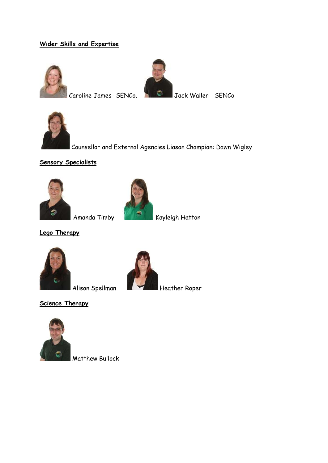#### **Wider Skills and Expertise**





Caroline James- SENCo. Jack Waller - SENCo



Counsellor and External Agencies Liason Champion: Dawn Wigley

#### **Sensory Specialists**





Amanda Timby<br>**Kayleigh Hatton** 

**Lego Therapy**



Alison Spellman **Heather Roper** 

**Science Therapy**



Matthew Bullock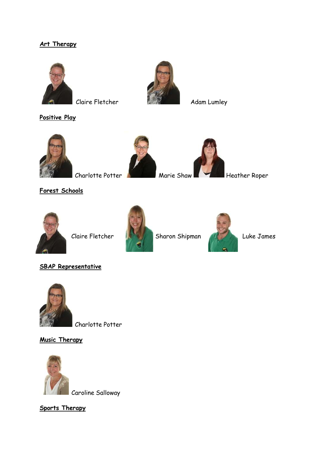#### **Art Therapy**



**Claire Fletcher Adam Lumley** 

**Positive Play**





Charlotte Potter Marie Shaw Heather Roper

**Forest Schools**





*Claire Fletcher* Sharon Shipman Allen Luke James



**SBAP Representative** 



Charlotte Potter

**Music Therapy**



Caroline Salloway

**Sports Therapy**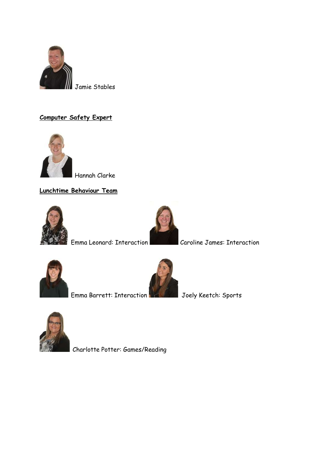

#### **Computer Safety Expert**



Hannah Clarke

**Lunchtime Behaviour Team** 





Emma Leonard: Interaction Caroline James: Interaction





Emma Barrett: Interaction Joely Keetch: Sports



Charlotte Potter: Games/Reading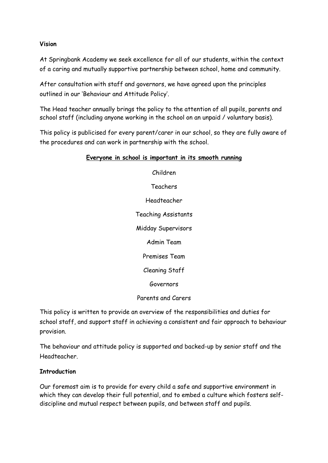#### **Vision**

At Springbank Academy we seek excellence for all of our students, within the context of a caring and mutually supportive partnership between school, home and community.

After consultation with staff and governors, we have agreed upon the principles outlined in our 'Behaviour and Attitude Policy'.

The Head teacher annually brings the policy to the attention of all pupils, parents and school staff (including anyone working in the school on an unpaid / voluntary basis).

This policy is publicised for every parent/carer in our school, so they are fully aware of the procedures and can work in partnership with the school.

#### **Everyone in school is important in its smooth running**

Children Teachers Headteacher Teaching Assistants Midday Supervisors Admin Team Premises Team Cleaning Staff Governors

Parents and Carers

This policy is written to provide an overview of the responsibilities and duties for school staff, and support staff in achieving a consistent and fair approach to behaviour provision.

The behaviour and attitude policy is supported and backed-up by senior staff and the Headteacher.

#### **Introduction**

Our foremost aim is to provide for every child a safe and supportive environment in which they can develop their full potential, and to embed a culture which fosters selfdiscipline and mutual respect between pupils, and between staff and pupils.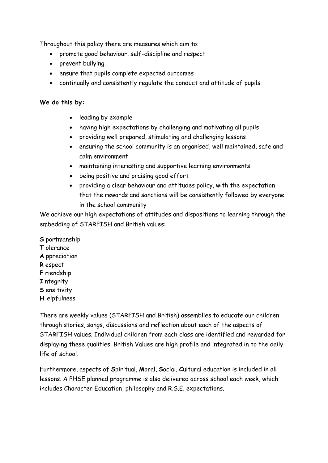Throughout this policy there are measures which aim to:

- promote good behaviour, self-discipline and respect
- prevent bullying
- ensure that pupils complete expected outcomes
- continually and consistently regulate the conduct and attitude of pupils

#### **We do this by:**

- leading by example
- having high expectations by challenging and motivating all pupils
- providing well prepared, stimulating and challenging lessons
- ensuring the school community is an organised, well maintained, safe and calm environment
- maintaining interesting and supportive learning environments
- being positive and praising good effort
- providing a clear behaviour and attitudes policy, with the expectation that the rewards and sanctions will be consistently followed by everyone in the school community

We achieve our high expectations of attitudes and dispositions to learning through the embedding of STARFISH and British values:

**S** portmanship **T** olerance **A** ppreciation **R** espect **F** riendship **I** ntegrity **S** ensitivity **H** elpfulness

There are weekly values (STARFISH and British) assemblies to educate our children through stories, songs, discussions and reflection about each of the aspects of STARFISH values. Individual children from each class are identified and rewarded for displaying these qualities. British Values are high profile and integrated in to the daily life of school.

Furthermore, aspects of **S**piritual, **M**oral, **S**ocial, **C**ultural education is included in all lessons. A PHSE planned programme is also delivered across school each week, which includes Character Education, philosophy and R.S.E. expectations.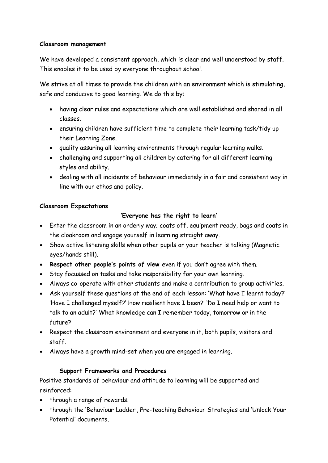#### **Classroom management**

We have developed a consistent approach, which is clear and well understood by staff. This enables it to be used by everyone throughout school.

We strive at all times to provide the children with an environment which is stimulating, safe and conducive to good learning. We do this by:

- having clear rules and expectations which are well established and shared in all classes.
- ensuring children have sufficient time to complete their learning task/tidy up their Learning Zone.
- quality assuring all learning environments through regular learning walks.
- challenging and supporting all children by catering for all different learning styles and ability.
- dealing with all incidents of behaviour immediately in a fair and consistent way in line with our ethos and policy.

#### **Classroom Expectations**

#### **'Everyone has the right to learn'**

- Enter the classroom in an orderly way; coats off, equipment ready, bags and coats in the cloakroom and engage yourself in learning straight away.
- Show active listening skills when other pupils or your teacher is talking (Magnetic eyes/hands still).
- **Respect other people's points of view** even if you don't agree with them.
- Stay focussed on tasks and take responsibility for your own learning.
- Always co-operate with other students and make a contribution to group activities.
- Ask yourself these questions at the end of each lesson: 'What have I learnt today?' 'Have I challenged myself?' How resilient have I been?' 'Do I need help or want to talk to an adult?' What knowledge can I remember today, tomorrow or in the future?
- Respect the classroom environment and everyone in it, both pupils, visitors and staff.
- Always have a growth mind-set when you are engaged in learning.

#### **Support Frameworks and Procedures**

Positive standards of behaviour and attitude to learning will be supported and reinforced:

- through a range of rewards.
- through the 'Behaviour Ladder', Pre-teaching Behaviour Strategies and 'Unlock Your Potential' documents.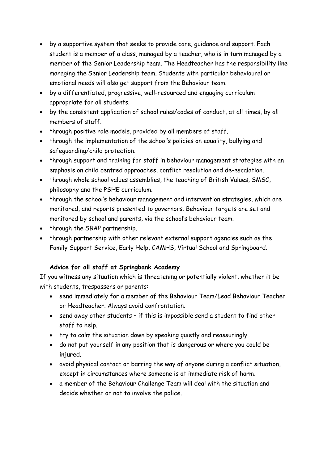- by a supportive system that seeks to provide care, guidance and support. Each student is a member of a class, managed by a teacher, who is in turn managed by a member of the Senior Leadership team. The Headteacher has the responsibility line managing the Senior Leadership team. Students with particular behavioural or emotional needs will also get support from the Behaviour team.
- by a differentiated, progressive, well-resourced and engaging curriculum appropriate for all students.
- by the consistent application of school rules/codes of conduct, at all times, by all members of staff.
- through positive role models, provided by all members of staff.
- through the implementation of the school's policies on equality, bullying and safeguarding/child protection.
- through support and training for staff in behaviour management strategies with an emphasis on child centred approaches, conflict resolution and de-escalation.
- through whole school values assemblies, the teaching of British Values, SMSC, philosophy and the PSHE curriculum.
- through the school's behaviour management and intervention strategies, which are monitored, and reports presented to governors. Behaviour targets are set and monitored by school and parents, via the school's behaviour team.
- through the SBAP partnership.
- through partnership with other relevant external support agencies such as the Family Support Service, Early Help, CAMHS, Virtual School and Springboard.

#### **Advice for all staff at Springbank Academy**

If you witness any situation which is threatening or potentially violent, whether it be with students, trespassers or parents:

- send immediately for a member of the Behaviour Team/Lead Behaviour Teacher or Headteacher. Always avoid confrontation.
- send away other students if this is impossible send a student to find other staff to help.
- try to calm the situation down by speaking quietly and reassuringly.
- do not put yourself in any position that is dangerous or where you could be injured.
- avoid physical contact or barring the way of anyone during a conflict situation, except in circumstances where someone is at immediate risk of harm.
- a member of the Behaviour Challenge Team will deal with the situation and decide whether or not to involve the police.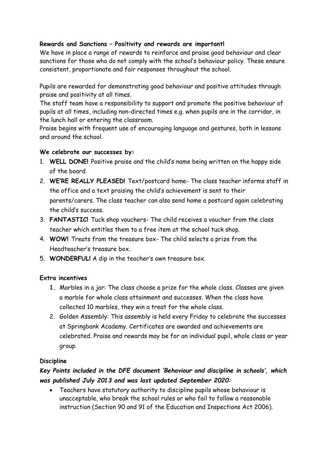#### **Rewards and Sanctions – Positivity and rewards are important!**

We have in place a range of rewards to reinforce and praise good behaviour and clear sanctions for those who do not comply with the school's behaviour policy. These ensure consistent, proportionate and fair responses throughout the school.

Pupils are rewarded for demonstrating good behaviour and positive attitudes through praise and positivity at all times.

The staff team have a responsibility to support and promote the positive behaviour of pupils at all times, including non-directed times e.g. when pupils are in the corridor, in the lunch hall or entering the classroom.

Praise begins with frequent use of encouraging language and gestures, both in lessons and around the school.

#### **We celebrate our successes by:**

- 1. **WELL DONE!** Positive praise and the child's name being written on the happy side of the board.
- 2. **WE'RE REALLY PLEASED!** Text/postcard home- The class teacher informs staff in the office and a text praising the child's achievement is sent to their parents/carers. The class teacher can also send home a postcard again celebrating the child's success.
- 3. **FANTASTIC!** Tuck shop vouchers- The child receives a voucher from the class teacher which entitles them to a free item at the school tuck shop.
- 4. **WOW!** Treats from the treasure box- The child selects a prize from the Headteacher's treasure box.
- 5. **WONDERFUL!** A dip in the teacher's own treasure box.

#### **Extra incentives**

- **1.** Marbles in a jar: The class choose a prize for the whole class. Classes are given a marble for whole class attainment and successes. When the class have collected 10 marbles, they win a treat for the whole class.
- 2. Golden Assembly: This assembly is held every Friday to celebrate the successes at Springbank Academy. Certificates are awarded and achievements are celebrated. Praise and rewards may be for an individual pupil, whole class or year group.

#### **Discipline**

#### *Key Points included in the DFE document 'Behaviour and discipline in schools', which was published July 2013 and was last updated September 2020:*

 Teachers have statutory authority to discipline pupils whose behaviour is unacceptable, who break the school rules or who fail to follow a reasonable instruction (Section 90 and 91 of the Education and Inspections Act 2006).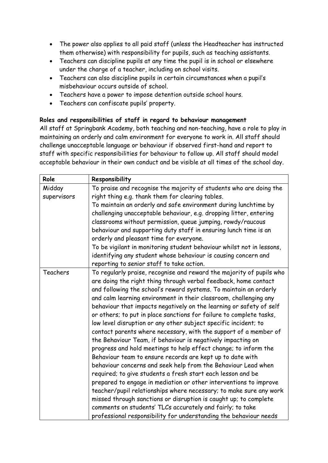- The power also applies to all paid staff (unless the Headteacher has instructed them otherwise) with responsibility for pupils, such as teaching assistants.
- Teachers can discipline pupils at any time the pupil is in school or elsewhere under the charge of a teacher, including on school visits.
- Teachers can also discipline pupils in certain circumstances when a pupil's misbehaviour occurs outside of school.
- Teachers have a power to impose detention outside school hours.
- Teachers can confiscate pupils' property.

#### **Roles and responsibilities of staff in regard to behaviour management**

All staff at Springbank Academy, both teaching and non-teaching, have a role to play in maintaining an orderly and calm environment for everyone to work in. All staff should challenge unacceptable language or behaviour if observed first-hand and report to staff with specific responsibilities for behaviour to follow up. All staff should model acceptable behaviour in their own conduct and be visible at all times of the school day.

| Role        | Responsibility                                                        |
|-------------|-----------------------------------------------------------------------|
| Midday      | To praise and recognise the majority of students who are doing the    |
| supervisors | right thing e.g. thank them for clearing tables.                      |
|             | To maintain an orderly and safe environment during lunchtime by       |
|             | challenging unacceptable behaviour, e.g. dropping litter, entering    |
|             | classrooms without permission, queue jumping, rowdy/raucous           |
|             | behaviour and supporting duty staff in ensuring lunch time is an      |
|             | orderly and pleasant time for everyone.                               |
|             | To be vigilant in monitoring student behaviour whilst not in lessons, |
|             | identifying any student whose behaviour is causing concern and        |
|             | reporting to senior staff to take action.                             |
| Teachers    | To regularly praise, recognise and reward the majority of pupils who  |
|             | are doing the right thing through verbal feedback, home contact       |
|             | and following the school's reward systems. To maintain an orderly     |
|             | and calm learning environment in their classroom, challenging any     |
|             | behaviour that impacts negatively on the learning or safety of self   |
|             | or others; to put in place sanctions for failure to complete tasks,   |
|             | low level disruption or any other subject specific incident; to       |
|             | contact parents where necessary, with the support of a member of      |
|             | the Behaviour Team, if behaviour is negatively impacting on           |
|             | progress and hold meetings to help effect change; to inform the       |
|             | Behaviour team to ensure records are kept up to date with             |
|             | behaviour concerns and seek help from the Behaviour Lead when         |
|             | required; to give students a fresh start each lesson and be           |
|             | prepared to engage in mediation or other interventions to improve     |
|             | teacher/pupil relationships where necessary; to make sure any work    |
|             | missed through sanctions or disruption is caught up; to complete      |
|             | comments on students' TLCs accurately and fairly; to take             |
|             | professional responsibility for understanding the behaviour needs     |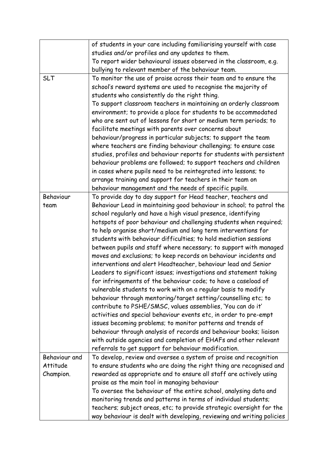|               | of students in your care including familiarising yourself with case    |
|---------------|------------------------------------------------------------------------|
|               | studies and/or profiles and any updates to them.                       |
|               | To report wider behavioural issues observed in the classroom, e.g.     |
|               | bullying to relevant member of the behaviour team.                     |
| <b>SLT</b>    | To monitor the use of praise across their team and to ensure the       |
|               | school's reward systems are used to recognise the majority of          |
|               | students who consistently do the right thing.                          |
|               | To support classroom teachers in maintaining an orderly classroom      |
|               | environment; to provide a place for students to be accommodated        |
|               | who are sent out of lessons for short or medium term periods; to       |
|               | facilitate meetings with parents over concerns about                   |
|               | behaviour/progress in particular subjects; to support the team         |
|               | where teachers are finding behaviour challenging; to ensure case       |
|               | studies, profiles and behaviour reports for students with persistent   |
|               | behaviour problems are followed; to support teachers and children      |
|               | in cases where pupils need to be reintegrated into lessons; to         |
|               | arrange training and support for teachers in their team on             |
|               | behaviour management and the needs of specific pupils.                 |
| Behaviour     | To provide day to day support for Head teacher, teachers and           |
| team          | Behaviour Lead in maintaining good behaviour in school; to patrol the  |
|               | school regularly and have a high visual presence, identifying          |
|               | hotspots of poor behaviour and challenging students when required;     |
|               | to help organise short/medium and long term interventions for          |
|               | students with behaviour difficulties; to hold mediation sessions       |
|               | between pupils and staff where necessary; to support with managed      |
|               | moves and exclusions; to keep records on behaviour incidents and       |
|               | interventions and alert Headteacher, behaviour lead and Senior         |
|               | Leaders to significant issues; investigations and statement taking     |
|               | for infringements of the behaviour code; to have a caseload of         |
|               | vulnerable students to work with on a regular basis to modify          |
|               | behaviour through mentoring/target setting/counselling etc; to         |
|               | contribute to PSHE/SMSC, values assemblies, 'You can do it'            |
|               | activities and special behaviour events etc, in order to pre-empt      |
|               | issues becoming problems; to monitor patterns and trends of            |
|               | behaviour through analysis of records and behaviour books; liaison     |
|               | with outside agencies and completion of EHAFs and other relevant       |
|               | referrals to get support for behaviour modification.                   |
| Behaviour and | To develop, review and oversee a system of praise and recognition      |
| Attitude      | to ensure students who are doing the right thing are recognised and    |
| Champion.     | rewarded as appropriate and to ensure all staff are actively using     |
|               | praise as the main tool in managing behaviour                          |
|               | To oversee the behaviour of the entire school, analysing data and      |
|               | monitoring trends and patterns in terms of individual students;        |
|               | teachers; subject areas, etc; to provide strategic oversight for the   |
|               | way behaviour is dealt with developing, reviewing and writing policies |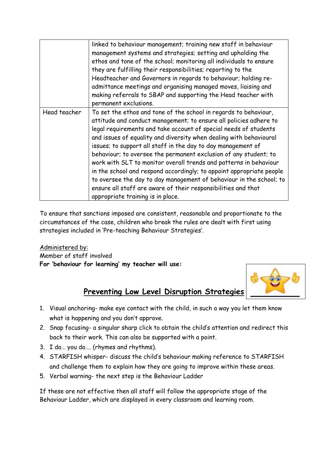|              | linked to behaviour management; training new staff in behaviour<br>management systems and strategies; setting and upholding the<br>ethos and tone of the school; monitoring all individuals to ensure<br>they are fulfilling their responsibilities; reporting to the<br>Headteacher and Governors in regards to behaviour; holding re-<br>admittance meetings and organising managed moves, liaising and<br>making referrals to SBAP and supporting the Head teacher with<br>permanent exclusions.                                                                                                                                                                                                                                           |
|--------------|-----------------------------------------------------------------------------------------------------------------------------------------------------------------------------------------------------------------------------------------------------------------------------------------------------------------------------------------------------------------------------------------------------------------------------------------------------------------------------------------------------------------------------------------------------------------------------------------------------------------------------------------------------------------------------------------------------------------------------------------------|
| Head teacher | To set the ethos and tone of the school in regards to behaviour,<br>attitude and conduct management; to ensure all policies adhere to<br>legal requirements and take account of special needs of students<br>and issues of equality and diversity when dealing with behavioural<br>issues; to support all staff in the day to day management of<br>behaviour; to oversee the permanent exclusion of any student; to<br>work with SLT to monitor overall trends and patterns in behaviour<br>in the school and respond accordingly; to appoint appropriate people<br>to oversee the day to day management of behaviour in the school; to<br>ensure all staff are aware of their responsibilities and that<br>appropriate training is in place. |

To ensure that sanctions imposed are consistent, reasonable and proportionate to the circumstances of the case, children who break the rules are dealt with first using strategies included in 'Pre-teaching Behaviour Strategies'.

Administered by: Member of staff involved **For 'behaviour for learning' my teacher will use:** 



### **Preventing Low Level Disruption Strategies**

- 1. Visual anchoring- make eye contact with the child, in such a way you let them know what is happening and you don't approve.
- 2. Snap focusing- a singular sharp click to obtain the child's attention and redirect this back to their work. This can also be supported with a point.
- 3. I do… you do…. (rhymes and rhythms).
- 4. STARFISH whisper- discuss the child's behaviour making reference to STARFISH and challenge them to explain how they are going to improve within these areas.
- 5. Verbal warning- the next step is the Behaviour Ladder

If these are not effective then all staff will follow the appropriate stage of the Behaviour Ladder, which are displayed in every classroom and learning room.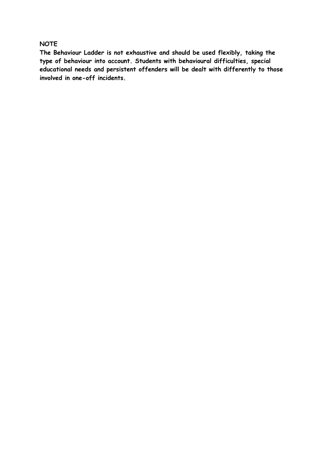#### **NOTE**

**The Behaviour Ladder is not exhaustive and should be used flexibly, taking the type of behaviour into account. Students with behavioural difficulties, special educational needs and persistent offenders will be dealt with differently to those involved in one-off incidents.**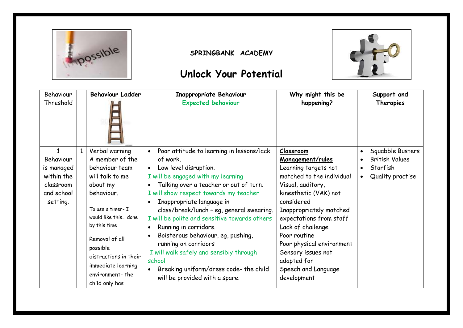

#### **SPRINGBANK ACADEMY**

## **Unlock Your Potential**



| Behaviour    |              | <b>Behaviour Ladder</b> | <b>Inappropriate Behaviour</b>                         | Why might this be         | Support and                        |
|--------------|--------------|-------------------------|--------------------------------------------------------|---------------------------|------------------------------------|
| Threshold    |              |                         | <b>Expected behaviour</b>                              | happening?                | Therapies                          |
| $\mathbf{1}$ | $\mathbf{1}$ | Verbal warning          | Poor attitude to learning in lessons/lack<br>$\bullet$ | Classroom                 | Squabble Busters<br>$\bullet$      |
| Behaviour    |              | A member of the         | of work.                                               | Management/rules          | <b>British Values</b><br>$\bullet$ |
| is managed   |              | behaviour team          | Low level disruption.<br>$\bullet$                     | Learning targets not      | Starfish<br>$\bullet$              |
| within the   |              | will talk to me         | I will be engaged with my learning                     | matched to the individual | Quality practise<br>$\bullet$      |
| classroom    |              | about my                | Talking over a teacher or out of turn.<br>$\bullet$    | Visual, auditory,         |                                    |
| and school   |              | behaviour.              | I will show respect towards my teacher                 | kinesthetic (VAK) not     |                                    |
| setting.     |              |                         | Inappropriate language in<br>$\bullet$                 | considered                |                                    |
|              |              | To use a timer- I       | class/break/lunch - eg, general swearing.              | Inappropriately matched   |                                    |
|              |              | would like this done    | I will be polite and sensitive towards others          | expectations from staff   |                                    |
|              |              | by this time            | Running in corridors.<br>$\bullet$                     | Lack of challenge         |                                    |
|              |              | Removal of all          | Boisterous behaviour, eg, pushing,<br>$\bullet$        | Poor routine              |                                    |
|              |              | possible                | running on corridors                                   | Poor physical environment |                                    |
|              |              | distractions in their   | I will walk safely and sensibly through                | Sensory issues not        |                                    |
|              |              |                         | school                                                 | adapted for               |                                    |
|              |              | immediate learning      | Breaking uniform/dress code- the child                 | Speech and Language       |                                    |
|              |              | environment-the         | will be provided with a spare.                         | development               |                                    |
|              |              | child only has          |                                                        |                           |                                    |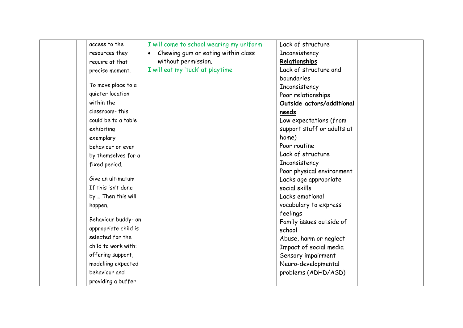| access to the        | I will come to school wearing my uniform        | Lack of structure          |  |
|----------------------|-------------------------------------------------|----------------------------|--|
| resources they       | Chewing gum or eating within class<br>$\bullet$ | Inconsistency              |  |
| require at that      | without permission.                             | Relationships              |  |
| precise moment.      | I will eat my 'tuck' at playtime                | Lack of structure and      |  |
|                      |                                                 | boundaries                 |  |
| To move place to a   |                                                 | Inconsistency              |  |
| quieter location     |                                                 | Poor relationships         |  |
| within the           |                                                 | Outside actors/additional  |  |
| classroom-this       |                                                 | needs                      |  |
| could be to a table  |                                                 | Low expectations (from     |  |
| exhibiting           |                                                 | support staff or adults at |  |
| exemplary            |                                                 | home)                      |  |
| behaviour or even    |                                                 | Poor routine               |  |
| by themselves for a  |                                                 | Lack of structure          |  |
| fixed period.        |                                                 | Inconsistency              |  |
|                      |                                                 | Poor physical environment  |  |
| Give an ultimatum-   |                                                 | Lacks age appropriate      |  |
| If this isn't done   |                                                 | social skills              |  |
| by Then this will    |                                                 | Lacks emotional            |  |
| happen.              |                                                 | vocabulary to express      |  |
|                      |                                                 | feelings                   |  |
| Behaviour buddy- an  |                                                 | Family issues outside of   |  |
| appropriate child is |                                                 | school                     |  |
| selected for the     |                                                 | Abuse, harm or neglect     |  |
| child to work with:  |                                                 | Impact of social media     |  |
| offering support,    |                                                 | Sensory impairment         |  |
| modelling expected   |                                                 | Neuro-developmental        |  |
| behaviour and        |                                                 | problems (ADHD/ASD)        |  |
| providing a buffer   |                                                 |                            |  |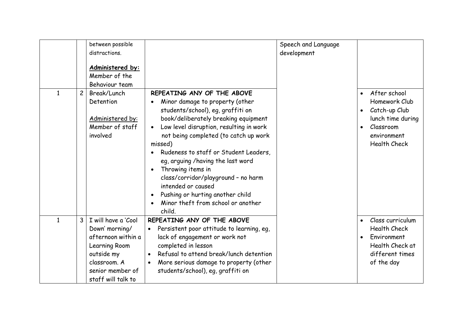| $\mathbf{1}$ | $\overline{c}$ | between possible<br>distractions.<br>Administered by:<br>Member of the<br>Behaviour team<br>Break/Lunch                                              | REPEATING ANY OF THE ABOVE                                                                                                                                                                                                                                                                                                                                                                                                                                      | Speech and Language<br>development | After school<br>$\bullet$                                                                                                            |
|--------------|----------------|------------------------------------------------------------------------------------------------------------------------------------------------------|-----------------------------------------------------------------------------------------------------------------------------------------------------------------------------------------------------------------------------------------------------------------------------------------------------------------------------------------------------------------------------------------------------------------------------------------------------------------|------------------------------------|--------------------------------------------------------------------------------------------------------------------------------------|
|              |                | Detention<br>Administered by:<br>Member of staff<br>involved                                                                                         | Minor damage to property (other<br>students/school), eg, graffiti on<br>book/deliberately breaking equipment<br>Low level disruption, resulting in work<br>not being completed (to catch up work<br>missed)<br>Rudeness to staff or Student Leaders,<br>eg, arguing /having the last word<br>Throwing items in<br>class/corridor/playground - no harm<br>intended or caused<br>Pushing or hurting another child<br>Minor theft from school or another<br>child. |                                    | Homework Club<br>Catch-up Club<br>$\bullet$<br>lunch time during<br>Classroom<br>environment<br><b>Health Check</b>                  |
| 1            | $\mathbf{3}$   | I will have a 'Cool<br>Down' morning/<br>afternoon within a<br>Learning Room<br>outside my<br>classroom. A<br>senior member of<br>staff will talk to | REPEATING ANY OF THE ABOVE<br>Persistent poor attitude to learning, eq.<br>lack of engagement or work not<br>completed in lesson<br>Refusal to attend break/lunch detention<br>$\bullet$<br>More serious damage to property (other<br>$\bullet$<br>students/school), eg, graffiti on                                                                                                                                                                            |                                    | Class curriculum<br>$\bullet$<br><b>Health Check</b><br>Environment<br>$\bullet$<br>Health Check at<br>different times<br>of the day |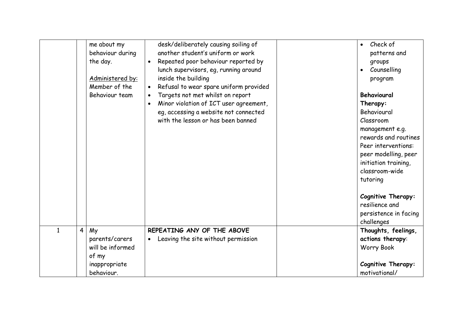|              | me about my<br>behaviour during<br>the day.<br>Administered by:<br>Member of the<br>Behaviour team | desk/deliberately causing soiling of<br>another student's uniform or work<br>Repeated poor behaviour reported by<br>lunch supervisors, eq, running around<br>inside the building<br>Refusal to wear spare uniform provided<br>Targets not met whilst on report<br>Minor violation of ICT user agreement,<br>$\bullet$<br>eg, accessing a website not connected<br>with the lesson or has been banned | Check of<br>patterns and<br>groups<br>Counselling<br>program<br>Behavioural<br>Therapy:<br>Behavioural<br>Classroom<br>management e.g.<br>rewards and routines<br>Peer interventions:<br>peer modelling, peer<br>initiation training,<br>classroom-wide<br>tutoring<br>Cognitive Therapy:<br>resilience and |
|--------------|----------------------------------------------------------------------------------------------------|------------------------------------------------------------------------------------------------------------------------------------------------------------------------------------------------------------------------------------------------------------------------------------------------------------------------------------------------------------------------------------------------------|-------------------------------------------------------------------------------------------------------------------------------------------------------------------------------------------------------------------------------------------------------------------------------------------------------------|
|              |                                                                                                    |                                                                                                                                                                                                                                                                                                                                                                                                      | persistence in facing<br>challenges                                                                                                                                                                                                                                                                         |
| $\mathbf{1}$ | $\overline{4}$<br>My<br>parents/carers<br>will be informed<br>of my<br>inappropriate<br>behaviour. | REPEATING ANY OF THE ABOVE<br>Leaving the site without permission                                                                                                                                                                                                                                                                                                                                    | Thoughts, feelings,<br>actions therapy:<br><b>Worry Book</b><br>Cognitive Therapy:<br>motivational/                                                                                                                                                                                                         |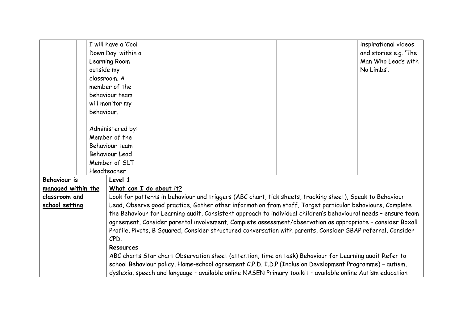|                           |            | I will have a 'Cool                                                                                            |                                                                                                            |  | inspirational videos  |  |
|---------------------------|------------|----------------------------------------------------------------------------------------------------------------|------------------------------------------------------------------------------------------------------------|--|-----------------------|--|
|                           |            | Down Day' within a                                                                                             |                                                                                                            |  | and stories e.g. 'The |  |
|                           |            | Learning Room                                                                                                  |                                                                                                            |  | Man Who Leads with    |  |
|                           | outside my |                                                                                                                |                                                                                                            |  | No Limbs'.            |  |
|                           |            | classroom. A                                                                                                   |                                                                                                            |  |                       |  |
|                           |            | member of the                                                                                                  |                                                                                                            |  |                       |  |
|                           |            | behaviour team                                                                                                 |                                                                                                            |  |                       |  |
|                           |            | will monitor my                                                                                                |                                                                                                            |  |                       |  |
|                           | behaviour. |                                                                                                                |                                                                                                            |  |                       |  |
|                           |            |                                                                                                                |                                                                                                            |  |                       |  |
|                           |            | Administered by:                                                                                               |                                                                                                            |  |                       |  |
|                           |            | Member of the                                                                                                  |                                                                                                            |  |                       |  |
|                           |            | Behaviour team                                                                                                 |                                                                                                            |  |                       |  |
|                           |            | <b>Behaviour Lead</b>                                                                                          |                                                                                                            |  |                       |  |
|                           |            | Member of SLT                                                                                                  |                                                                                                            |  |                       |  |
|                           |            | Headteacher                                                                                                    |                                                                                                            |  |                       |  |
| Behaviour is              |            | Level 1                                                                                                        |                                                                                                            |  |                       |  |
| <u>managed within the</u> |            |                                                                                                                | What can I do about it?                                                                                    |  |                       |  |
| classroom and             |            |                                                                                                                | Look for patterns in behaviour and triggers (ABC chart, tick sheets, tracking sheet), Speak to Behaviour   |  |                       |  |
| school setting            |            | Lead, Observe good practice, Gather other information from staff, Target particular behaviours, Complete       |                                                                                                            |  |                       |  |
|                           |            | the Behaviour for Learning audit, Consistent approach to individual children's behavioural needs - ensure team |                                                                                                            |  |                       |  |
|                           |            |                                                                                                                | agreement, Consider parental involvement, Complete assessment/observation as appropriate - consider Boxall |  |                       |  |
|                           |            | Profile, Pivots, B Squared, Consider structured conversation with parents, Consider SBAP referral, Consider    |                                                                                                            |  |                       |  |
|                           |            | CPD.                                                                                                           |                                                                                                            |  |                       |  |
| <b>Resources</b>          |            |                                                                                                                |                                                                                                            |  |                       |  |
|                           |            |                                                                                                                | ABC charts Star chart Observation sheet (attention, time on task) Behaviour for Learning audit Refer to    |  |                       |  |
|                           |            |                                                                                                                | school Behaviour policy, Home-school agreement C.P.D. I.D.P.(Inclusion Development Programme) - autism,    |  |                       |  |
|                           |            | dyslexia, speech and language - available online NASEN Primary toolkit - available online Autism education     |                                                                                                            |  |                       |  |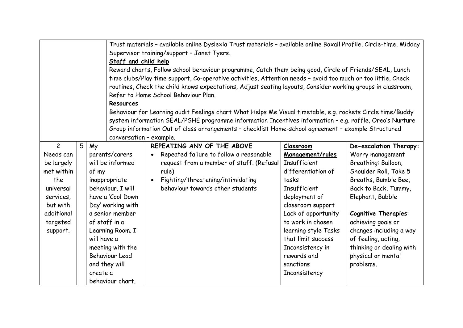|                |                                                                                                        | Trust materials - available online Dyslexia Trust materials - available online Boxall Profile, Circle-time, Midday |                                            |                                                                                                              |                      |                             |  |
|----------------|--------------------------------------------------------------------------------------------------------|--------------------------------------------------------------------------------------------------------------------|--------------------------------------------|--------------------------------------------------------------------------------------------------------------|----------------------|-----------------------------|--|
|                |                                                                                                        |                                                                                                                    | Supervisor training/support - Janet Tyers. |                                                                                                              |                      |                             |  |
|                |                                                                                                        |                                                                                                                    | Staff and child help                       |                                                                                                              |                      |                             |  |
|                | Reward charts, Follow school behaviour programme, Catch them being good, Circle of Friends/SEAL, Lunch |                                                                                                                    |                                            |                                                                                                              |                      |                             |  |
|                |                                                                                                        |                                                                                                                    |                                            | time clubs/Play time support, Co-operative activities, Attention needs - avoid too much or too little, Check |                      |                             |  |
|                |                                                                                                        |                                                                                                                    |                                            | routines, Check the child knows expectations, Adjust seating layouts, Consider working groups in classroom,  |                      |                             |  |
|                |                                                                                                        |                                                                                                                    |                                            | Refer to Home School Behaviour Plan.                                                                         |                      |                             |  |
|                |                                                                                                        |                                                                                                                    | <b>Resources</b>                           |                                                                                                              |                      |                             |  |
|                |                                                                                                        |                                                                                                                    |                                            | Behaviour for Learning audit Feelings chart What Helps Me Visual timetable, e.g. rockets Circle time/Buddy   |                      |                             |  |
|                |                                                                                                        |                                                                                                                    |                                            | system information SEAL/PSHE programme information Incentives information - e.g. raffle, Oreo's Nurture      |                      |                             |  |
|                |                                                                                                        |                                                                                                                    |                                            | Group information Out of class arrangements - checklist Home-school agreement - example Structured           |                      |                             |  |
|                |                                                                                                        |                                                                                                                    | conversation - example.                    |                                                                                                              |                      |                             |  |
| $\overline{2}$ | 5                                                                                                      | My                                                                                                                 |                                            | REPEATING ANY OF THE ABOVE                                                                                   | <b>Classroom</b>     | De-escalation Therapy:      |  |
| Needs can      |                                                                                                        |                                                                                                                    | parents/carers                             | Repeated failure to follow a reasonable                                                                      | Management/rules     | Worry management            |  |
| be largely     |                                                                                                        |                                                                                                                    | will be informed                           | request from a member of staff. (Refusal                                                                     | Insufficient         | Breathing: Balloon,         |  |
| met within     |                                                                                                        | of my                                                                                                              |                                            | rule)                                                                                                        | differentiation of   | Shoulder Roll, Take 5       |  |
| the            |                                                                                                        |                                                                                                                    | inappropriate                              | Fighting/threatening/intimidating                                                                            | tasks                | Breaths, Bumble Bee,        |  |
| universal      |                                                                                                        |                                                                                                                    | behaviour. I will                          | behaviour towards other students                                                                             | Insufficient         | Back to Back, Tummy,        |  |
| services,      |                                                                                                        |                                                                                                                    | have a 'Cool Down                          |                                                                                                              | deployment of        | Elephant, Bubble            |  |
| but with       |                                                                                                        |                                                                                                                    | Day' working with                          |                                                                                                              | classroom support    |                             |  |
| additional     |                                                                                                        |                                                                                                                    | a senior member                            |                                                                                                              | Lack of opportunity  | <b>Cognitive Therapies:</b> |  |
| targeted       |                                                                                                        |                                                                                                                    | of staff in a                              |                                                                                                              | to work in chosen    | achieving goals or          |  |
| support.       |                                                                                                        |                                                                                                                    | Learning Room. I                           |                                                                                                              | learning style Tasks | changes including a way     |  |
|                |                                                                                                        | will have a                                                                                                        |                                            |                                                                                                              | that limit success   | of feeling, acting,         |  |
|                |                                                                                                        |                                                                                                                    | meeting with the                           |                                                                                                              | Inconsistency in     | thinking or dealing with    |  |
|                |                                                                                                        |                                                                                                                    | <b>Behaviour Lead</b>                      |                                                                                                              | rewards and          | physical or mental          |  |
|                |                                                                                                        |                                                                                                                    | and they will                              |                                                                                                              | sanctions            | problems.                   |  |
|                |                                                                                                        | create a                                                                                                           |                                            |                                                                                                              | Inconsistency        |                             |  |
|                |                                                                                                        |                                                                                                                    | behaviour chart,                           |                                                                                                              |                      |                             |  |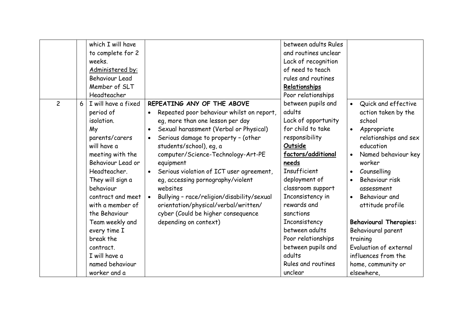|                |   | which I will have     |                                                         | between adults Rules |                                  |
|----------------|---|-----------------------|---------------------------------------------------------|----------------------|----------------------------------|
|                |   | to complete for 2     |                                                         | and routines unclear |                                  |
|                |   | weeks.                |                                                         | Lack of recognition  |                                  |
|                |   | Administered by:      |                                                         | of need to teach     |                                  |
|                |   | <b>Behaviour Lead</b> |                                                         | rules and routines   |                                  |
|                |   | Member of SLT         |                                                         | Relationships        |                                  |
|                |   | Headteacher           |                                                         | Poor relationships   |                                  |
| $\overline{c}$ | 6 | I will have a fixed   | REPEATING ANY OF THE ABOVE                              | between pupils and   | Quick and effective<br>$\bullet$ |
|                |   | period of             | Repeated poor behaviour whilst on report,               | adults               | action taken by the              |
|                |   | isolation.            | eg, more than one lesson per day                        | Lack of opportunity  | school                           |
|                |   | My                    | Sexual harassment (Verbal or Physical)<br>$\bullet$     | for child to take    | Appropriate<br>$\bullet$         |
|                |   | parents/carers        | Serious damage to property - (other                     | responsibility       | relationships and sex            |
|                |   | will have a           | students/school), eg, a                                 | Outside              | education                        |
|                |   | meeting with the      | computer/Science-Technology-Art-PE                      | factors/additional   | Named behaviour key<br>$\bullet$ |
|                |   | Behaviour Lead or     | equipment                                               | needs                | worker                           |
|                |   | Headteacher.          | Serious violation of ICT user agreement,                | Insufficient         | Counselling<br>$\bullet$         |
|                |   | They will sign a      | eg, accessing pornography/violent                       | deployment of        | Behaviour risk<br>$\bullet$      |
|                |   | behaviour             | websites                                                | classroom support    | assessment                       |
|                |   | contract and meet     | Bullying - race/religion/disability/sexual<br>$\bullet$ | Inconsistency in     | Behaviour and<br>$\bullet$       |
|                |   | with a member of      | orientation/physical/verbal/written/                    | rewards and          | attitude profile                 |
|                |   | the Behaviour         | cyber (Could be higher consequence                      | sanctions            |                                  |
|                |   | Team weekly and       | depending on context)                                   | Inconsistency        | <b>Behavioural Therapies:</b>    |
|                |   | every time I          |                                                         | between adults       | Behavioural parent               |
|                |   | break the             |                                                         | Poor relationships   | training                         |
|                |   | contract.             |                                                         | between pupils and   | Evaluation of external           |
|                |   | I will have a         |                                                         | adults               | influences from the              |
|                |   | named behaviour       |                                                         | Rules and routines   | home, community or               |
|                |   | worker and a          |                                                         | unclear              | elsewhere,                       |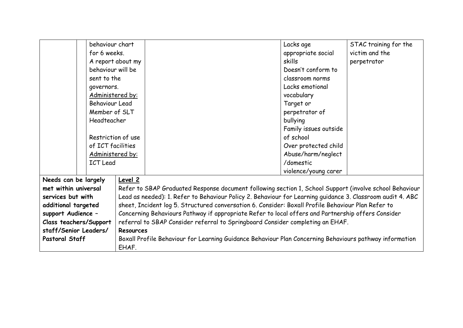|                        |  | behaviour chart                                                                                    |                                                                                                            |                                                                                                         | Lacks age             | STAC training for the |
|------------------------|--|----------------------------------------------------------------------------------------------------|------------------------------------------------------------------------------------------------------------|---------------------------------------------------------------------------------------------------------|-----------------------|-----------------------|
|                        |  |                                                                                                    |                                                                                                            |                                                                                                         |                       |                       |
|                        |  | for 6 weeks.                                                                                       |                                                                                                            |                                                                                                         | appropriate social    | victim and the        |
|                        |  |                                                                                                    | A report about my                                                                                          | skills                                                                                                  |                       | perpetrator           |
|                        |  | behaviour will be                                                                                  |                                                                                                            |                                                                                                         | Doesn't conform to    |                       |
|                        |  | sent to the                                                                                        |                                                                                                            |                                                                                                         | classroom norms       |                       |
|                        |  | governors.                                                                                         |                                                                                                            |                                                                                                         | Lacks emotional       |                       |
|                        |  | Administered by:                                                                                   |                                                                                                            |                                                                                                         | vocabulary            |                       |
|                        |  | <b>Behaviour Lead</b>                                                                              |                                                                                                            |                                                                                                         | Target or             |                       |
|                        |  | Member of SLT                                                                                      |                                                                                                            |                                                                                                         | perpetrator of        |                       |
|                        |  | Headteacher                                                                                        |                                                                                                            |                                                                                                         | bullying              |                       |
|                        |  |                                                                                                    |                                                                                                            |                                                                                                         | Family issues outside |                       |
|                        |  |                                                                                                    | Restriction of use                                                                                         |                                                                                                         | of school             |                       |
|                        |  | of ICT facilities                                                                                  |                                                                                                            |                                                                                                         | Over protected child  |                       |
|                        |  | Administered by:                                                                                   |                                                                                                            |                                                                                                         | Abuse/harm/neglect    |                       |
|                        |  | <b>ICT Lead</b>                                                                                    |                                                                                                            |                                                                                                         | /domestic             |                       |
|                        |  |                                                                                                    |                                                                                                            |                                                                                                         | violence/young carer  |                       |
| Needs can be largely   |  |                                                                                                    | Level 2                                                                                                    |                                                                                                         |                       |                       |
| met within universal   |  |                                                                                                    | Refer to SBAP Graduated Response document following section 1, School Support (involve school Behaviour    |                                                                                                         |                       |                       |
| services but with      |  |                                                                                                    | Lead as needed): 1. Refer to Behaviour Policy 2. Behaviour for Learning guidance 3. Classroom audit 4. ABC |                                                                                                         |                       |                       |
| additional targeted    |  |                                                                                                    | sheet, Incident log 5. Structured conversation 6. Consider: Boxall Profile Behaviour Plan Refer to         |                                                                                                         |                       |                       |
| support Audience -     |  | Concerning Behaviours Pathway if appropriate Refer to local offers and Partnership offers Consider |                                                                                                            |                                                                                                         |                       |                       |
| Class teachers/Support |  |                                                                                                    | referral to SBAP Consider referral to Springboard Consider completing an EHAF.                             |                                                                                                         |                       |                       |
| staff/Senior Leaders/  |  | Resources                                                                                          |                                                                                                            |                                                                                                         |                       |                       |
| <b>Pastoral Staff</b>  |  |                                                                                                    |                                                                                                            | Boxall Profile Behaviour for Learning Guidance Behaviour Plan Concerning Behaviours pathway information |                       |                       |
|                        |  |                                                                                                    | EHAF.                                                                                                      |                                                                                                         |                       |                       |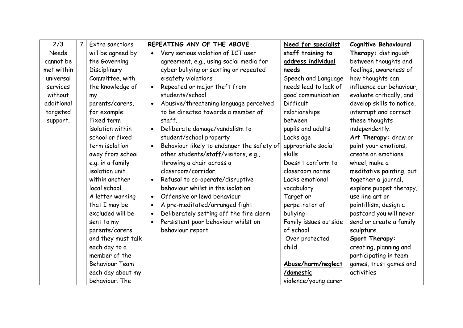| 2/3          | $\overline{7}$ | Extra sanctions       | REPEATING ANY OF THE ABOVE<br>Need for specialist                             | Cognitive Behavioural     |
|--------------|----------------|-----------------------|-------------------------------------------------------------------------------|---------------------------|
| <b>Needs</b> |                | will be agreed by     | Very serious violation of ICT user<br>staff training to                       | Therapy: distinguish      |
| cannot be    |                | the Governing         | address individual<br>agreement, e.g., using social media for                 | between thoughts and      |
| met within   |                | Disciplinary          | cyber bullying or sexting or repeated<br>needs                                | feelings, awareness of    |
| universal    |                | Committee, with       | Speech and Language<br>e:safety violations                                    | how thoughts can          |
| services     |                | the knowledge of      | needs lead to lack of<br>Repeated or major theft from<br>$\bullet$            | influence our behaviour,  |
| without      |                | my                    | students/school<br>good communication                                         | evaluate critically, and  |
| additional   |                | parents/carers,       | Abusive/threatening language perceived<br>Difficult<br>$\bullet$              | develop skills to notice, |
| targeted     |                | for example:          | to be directed towards a member of<br>relationships                           | interrupt and correct     |
| support.     |                | Fixed term            | between<br>staff.                                                             | these thoughts            |
|              |                | isolation within      | Deliberate damage/vandalism to<br>pupils and adults                           | independently.            |
|              |                | school or fixed       | student/school property<br>Lacks age                                          | Art Therapy: draw or      |
|              |                | term isolation        | Behaviour likely to endanger the safety of<br>appropriate social<br>$\bullet$ | paint your emotions,      |
|              |                | away from school      | other students/staff/visitors, e.g.,<br>skills                                | create an emotions        |
|              |                | e.g. in a family      | throwing a chair across a<br>Doesn't conform to                               | wheel, make a             |
|              |                | isolation unit        | classroom/corridor<br>classroom norms                                         | meditative painting, put  |
|              |                | within another        | Refusal to co-operate/disruptive<br>Lacks emotional                           | together a journal,       |
|              |                | local school.         | behaviour whilst in the isolation<br>vocabulary                               | explore puppet therapy,   |
|              |                | A letter warning      | Offensive or lewd behaviour<br>Target or<br>$\bullet$                         | use line art or           |
|              |                | that I may be         | A pre-meditated/arranged fight<br>perpetrator of                              | pointillism, design a     |
|              |                | excluded will be      | Deliberately setting off the fire alarm<br>bullying                           | postcard you will never   |
|              |                | sent to my            | Persistent poor behaviour whilst on<br>Family issues outside                  | send or create a family   |
|              |                | parents/carers        | of school<br>behaviour report                                                 | sculpture.                |
|              |                | and they must talk    | Over protected                                                                | Sport Therapy:            |
|              |                | each day to a         | child                                                                         | creating, planning and    |
|              |                | member of the         |                                                                               | participating in team     |
|              |                | <b>Behaviour Team</b> | Abuse/harm/neglect                                                            | games, trust games and    |
|              |                | each day about my     | /domestic                                                                     | activities                |
|              |                | behaviour. The        | violence/young carer                                                          |                           |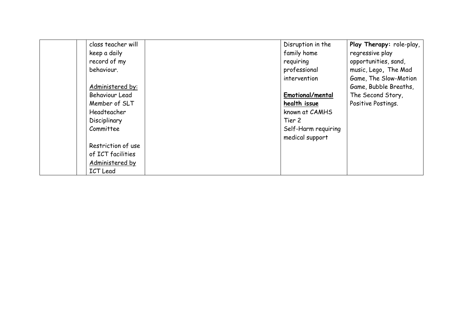| class teacher will | Disruption in the   | Play Therapy: role-play, |
|--------------------|---------------------|--------------------------|
| keep a daily       | family home         | regressive play          |
| record of my       | requiring           | opportunities, sand,     |
| behaviour.         | professional        | music, Lego, The Mad     |
|                    | intervention        | Game, The Slow-Motion    |
| Administered by:   |                     | Game, Bubble Breaths,    |
| Behaviour Lead     | Emotional/mental    | The Second Story,        |
| Member of SLT      | health issue        | Positive Postings.       |
| Headteacher        | known at CAMHS      |                          |
| Disciplinary       | Tier 2              |                          |
| Committee          | Self-Harm requiring |                          |
|                    | medical support     |                          |
| Restriction of use |                     |                          |
| of ICT facilities  |                     |                          |
| Administered by    |                     |                          |
| <b>ICT</b> Lead    |                     |                          |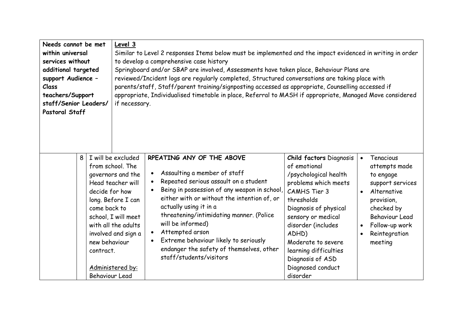| Needs cannot be met<br>within universal<br>services without<br>additional targeted<br>support Audience -<br>Class<br>teachers/Support<br>staff/Senior Leaders/<br>Pastoral Staff |   |                                                                                       | Level 3<br>if necessary.                                                                                                                                                                        | Similar to Level 2 responses Items below must be implemented and the impact evidenced in writing in order<br>to develop a comprehensive case history<br>Springboard and/or SBAP are involved, Assessments have taken place, Behaviour Plans are<br>reviewed/Incident logs are regularly completed, Structured conversations are taking place with<br>parents/staff, Staff/parent training/signposting accessed as appropriate, Counselling accessed if<br>appropriate, Individualised timetable in place, Referral to MASH if appropriate, Managed Move considered |                                                                                                                                                                                                                                                                                                                        |                                                                                                                                                                                                                                   |
|----------------------------------------------------------------------------------------------------------------------------------------------------------------------------------|---|---------------------------------------------------------------------------------------|-------------------------------------------------------------------------------------------------------------------------------------------------------------------------------------------------|--------------------------------------------------------------------------------------------------------------------------------------------------------------------------------------------------------------------------------------------------------------------------------------------------------------------------------------------------------------------------------------------------------------------------------------------------------------------------------------------------------------------------------------------------------------------|------------------------------------------------------------------------------------------------------------------------------------------------------------------------------------------------------------------------------------------------------------------------------------------------------------------------|-----------------------------------------------------------------------------------------------------------------------------------------------------------------------------------------------------------------------------------|
|                                                                                                                                                                                  | 8 | decide for how<br>come back to<br>new behaviour<br>contract.<br><b>Behaviour Lead</b> | I will be excluded<br>from school. The<br>governors and the<br>Head teacher will<br>long. Before I can<br>school, I will meet<br>with all the adults<br>involved and sign a<br>Administered by: | RPEATING ANY OF THE ABOVE<br>Assaulting a member of staff<br>Repeated serious assault on a student<br>Being in possession of any weapon in school,<br>either with or without the intention of, or<br>actually using it in a<br>threatening/intimidating manner. (Police<br>will be informed)<br>Attempted arson<br>Extreme behaviour likely to seriously<br>endanger the safety of themselves, other<br>staff/students/visitors                                                                                                                                    | <b>Child factors Diagnosis</b><br>of emotional<br>/psychological health<br>problems which meets<br><b>CAMHS Tier 3</b><br>thresholds<br>Diagnosis of physical<br>sensory or medical<br>disorder (includes<br>ADHD)<br>Moderate to severe<br>learning difficulties<br>Diagnosis of ASD<br>Diagnosed conduct<br>disorder | Tenacious<br>$\bullet$<br>attempts made<br>to engage<br>support services<br>Alternative<br>$\bullet$<br>provision,<br>checked by<br><b>Behaviour Lead</b><br>Follow-up work<br>$\bullet$<br>Reintegration<br>$\bullet$<br>meeting |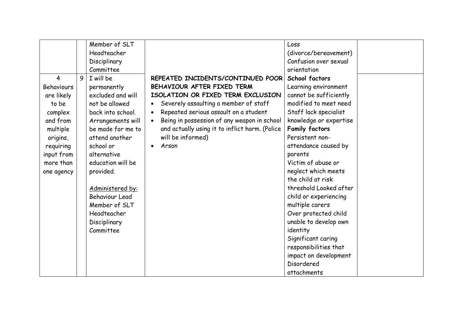|                   |   | Member of SLT         |                                                          | Loss                   |
|-------------------|---|-----------------------|----------------------------------------------------------|------------------------|
|                   |   | Headteacher           |                                                          | (divorce/bereavement)  |
|                   |   | Disciplinary          |                                                          | Confusion over sexual  |
|                   |   | Committee             |                                                          | orientation            |
| 4                 | 9 | I will be             | REPEATED INCIDENTS/CONTINUED POOR                        | School factors         |
| <b>Behaviours</b> |   | permanently           | BEHAVIOUR AFTER FIXED TERM                               | Learning environment   |
| are likely        |   | excluded and will     | ISOLATION OR FIXED TERM EXCLUSION                        | cannot be sufficiently |
| to be             |   | not be allowed        | Severely assaulting a member of staff                    | modified to meet need  |
| complex           |   | back into school.     | Repeated serious assault on a student<br>$\bullet$       | Staff lack specialist  |
| and from          |   | Arrangements will     | Being in possession of any weapon in school<br>$\bullet$ | knowledge or expertise |
| multiple          |   | be made for me to     | and actually using it to inflict harm. (Police           | <b>Family factors</b>  |
| origins,          |   | attend another        | will be informed)                                        | Persistent non-        |
| requiring         |   | school or             | Arson                                                    | attendance caused by   |
| input from        |   | alternative           |                                                          | parents                |
| more than         |   | education will be     |                                                          | Victim of abuse or     |
| one agency        |   | provided.             |                                                          | neglect which meets    |
|                   |   |                       |                                                          | the child at risk      |
|                   |   | Administered by:      |                                                          | threshold Looked after |
|                   |   | <b>Behaviour Lead</b> |                                                          | child or experiencing  |
|                   |   | Member of SLT         |                                                          | multiple carers        |
|                   |   | Headteacher           |                                                          | Over protected child   |
|                   |   | Disciplinary          |                                                          | unable to develop own  |
|                   |   | Committee             |                                                          | identity               |
|                   |   |                       |                                                          | Significant caring     |
|                   |   |                       |                                                          | responsibilities that  |
|                   |   |                       |                                                          | impact on development  |
|                   |   |                       |                                                          | Disordered             |
|                   |   |                       |                                                          | attachments            |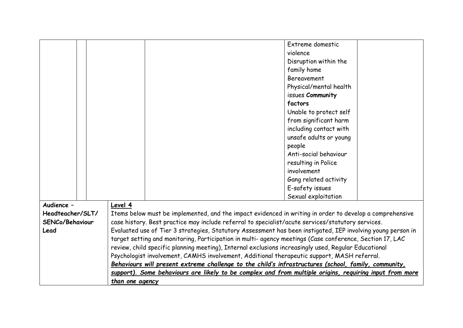|                  |                                                                                                             | Extreme domestic                                                                                         |
|------------------|-------------------------------------------------------------------------------------------------------------|----------------------------------------------------------------------------------------------------------|
|                  |                                                                                                             |                                                                                                          |
|                  |                                                                                                             | violence                                                                                                 |
|                  |                                                                                                             | Disruption within the                                                                                    |
|                  |                                                                                                             | family home                                                                                              |
|                  |                                                                                                             | <b>Bereavement</b>                                                                                       |
|                  |                                                                                                             | Physical/mental health                                                                                   |
|                  |                                                                                                             | issues Community                                                                                         |
|                  |                                                                                                             | factors                                                                                                  |
|                  |                                                                                                             | Unable to protect self                                                                                   |
|                  |                                                                                                             | from significant harm                                                                                    |
|                  |                                                                                                             | including contact with                                                                                   |
|                  |                                                                                                             | unsafe adults or young                                                                                   |
|                  |                                                                                                             | people                                                                                                   |
|                  |                                                                                                             | Anti-social behaviour                                                                                    |
|                  |                                                                                                             | resulting in Police                                                                                      |
|                  |                                                                                                             | involvement                                                                                              |
|                  |                                                                                                             | Gang related activity                                                                                    |
|                  |                                                                                                             | E-safety issues                                                                                          |
|                  |                                                                                                             | Sexual exploitation                                                                                      |
| Audience -       | Level 4                                                                                                     |                                                                                                          |
| Headteacher/SLT/ | Items below must be implemented, and the impact evidenced in writing in order to develop a comprehensive    |                                                                                                          |
| SENCo/Behaviour  | case history. Best practice may include referral to specialist/acute services/statutory services.           |                                                                                                          |
| Lead             | Evaluated use of Tier 3 strategies, Statutory Assessment has been instigated, IEP involving young person in |                                                                                                          |
|                  |                                                                                                             | target setting and monitoring, Participation in multi- agency meetings (Case conference, Section 17, LAC |
|                  |                                                                                                             | review, child specific planning meeting), Internal exclusions increasingly used, Regular Educational     |
|                  |                                                                                                             | Psychologist involvement, CAMHS involvement, Additional therapeutic support, MASH referral.              |
|                  | Behaviours will present extreme challenge to the child's infrastructures (school, family, community,        |                                                                                                          |
|                  | support). Some behaviours are likely to be complex and from multiple origins, requiring input from more     |                                                                                                          |
|                  | than one agency                                                                                             |                                                                                                          |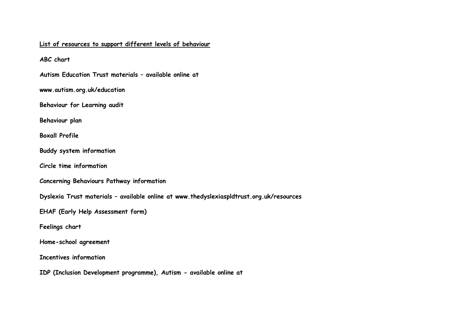#### **List of resources to support different levels of behaviour**

**ABC chart**

**Autism Education Trust materials – available online at**

**www.autism.org.uk/education**

**Behaviour for Learning audit**

**Behaviour plan**

**Boxall Profile**

**Buddy system information**

**Circle time information**

**Concerning Behaviours Pathway information**

**Dyslexia Trust materials – available online at www.thedyslexiaspldtrust.org.uk/resources**

**EHAF (Early Help Assessment form)**

**Feelings chart**

**Home-school agreement**

**Incentives information**

**IDP (Inclusion Development programme), Autism - available online at**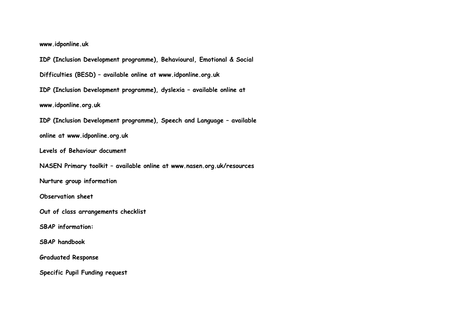**www.idponline.uk**

**IDP (Inclusion Development programme), Behavioural, Emotional & Social**

**Difficulties (BESD) – available online at www.idponline.org.uk**

**IDP (Inclusion Development programme), dyslexia – available online at**

**www.idponline.org.uk**

**IDP (Inclusion Development programme), Speech and Language – available**

**online at www.idponline.org.uk**

**Levels of Behaviour document**

**NASEN Primary toolkit – available online at www.nasen.org.uk/resources**

**Nurture group information**

**Observation sheet**

**Out of class arrangements checklist**

**SBAP information:**

**SBAP handbook**

**Graduated Response**

**Specific Pupil Funding request**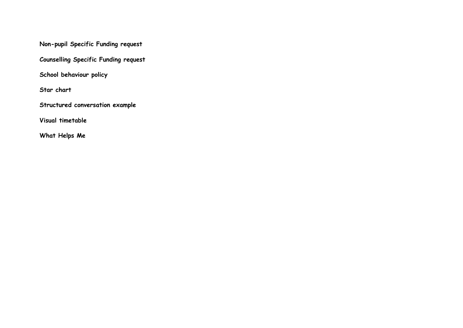**Non-pupil Specific Funding request**

**Counselling Specific Funding request**

**School behaviour policy**

**Star chart**

**Structured conversation example**

**Visual timetable**

**What Helps Me**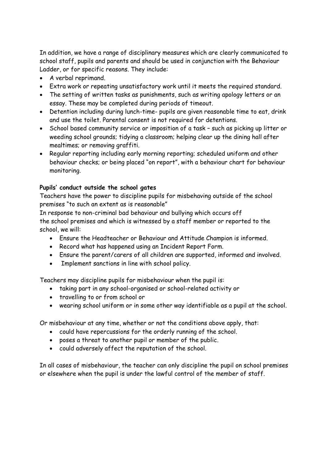In addition, we have a range of disciplinary measures which are clearly communicated to school staff, pupils and parents and should be used in conjunction with the Behaviour Ladder, or for specific reasons. They include:

- A verbal reprimand.
- Extra work or repeating unsatisfactory work until it meets the required standard.
- The setting of written tasks as punishments, such as writing apology letters or an essay. These may be completed during periods of timeout.
- Detention including during lunch-time- pupils are given reasonable time to eat, drink and use the toilet. Parental consent is not required for detentions.
- School based community service or imposition of a task such as picking up litter or weeding school grounds; tidying a classroom; helping clear up the dining hall after mealtimes; or removing graffiti.
- Regular reporting including early morning reporting; scheduled uniform and other behaviour checks; or being placed "on report", with a behaviour chart for behaviour monitoring.

#### **Pupils' conduct outside the school gates**

Teachers have the power to discipline pupils for misbehaving outside of the school premises "to such an extent as is reasonable"

In response to non-criminal bad behaviour and bullying which occurs off the school premises and which is witnessed by a staff member or reported to the school, we will:

- Ensure the Headteacher or Behaviour and Attitude Champion is informed.
- Record what has happened using an Incident Report Form.
- Ensure the parent/carers of all children are supported, informed and involved.
- Implement sanctions in line with school policy.

Teachers may discipline pupils for misbehaviour when the pupil is:

- taking part in any school-organised or school-related activity or
- travelling to or from school or
- wearing school uniform or in some other way identifiable as a pupil at the school.

Or misbehaviour at any time, whether or not the conditions above apply, that:

- could have repercussions for the orderly running of the school.
- poses a threat to another pupil or member of the public.
- could adversely affect the reputation of the school.

In all cases of misbehaviour, the teacher can only discipline the pupil on school premises or elsewhere when the pupil is under the lawful control of the member of staff.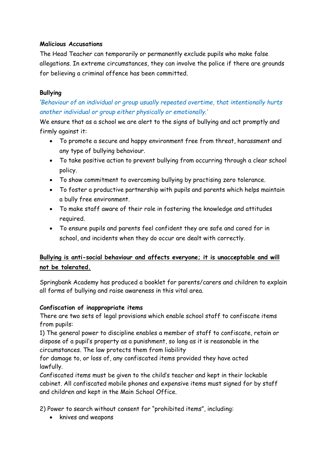#### **Malicious Accusations**

The Head Teacher can temporarily or permanently exclude pupils who make false allegations. In extreme circumstances, they can involve the police if there are grounds for believing a criminal offence has been committed.

#### **Bullying**

*'Behaviour of an individual or group usually repeated overtime, that intentionally hurts another individual or group either physically or emotionally.'*

We ensure that as a school we are alert to the signs of bullying and act promptly and firmly against it:

- To promote a secure and happy environment free from threat, harassment and any type of bullying behaviour.
- To take positive action to prevent bullying from occurring through a clear school policy.
- To show commitment to overcoming bullying by practising zero tolerance.
- To foster a productive partnership with pupils and parents which helps maintain a bully free environment.
- To make staff aware of their role in fostering the knowledge and attitudes required.
- To ensure pupils and parents feel confident they are safe and cared for in school, and incidents when they do occur are dealt with correctly.

#### **Bullying is anti-social behaviour and affects everyone; it is unacceptable and will not be tolerated.**

Springbank Academy has produced a booklet for parents/carers and children to explain all forms of bullying and raise awareness in this vital area.

#### **Confiscation of inappropriate items**

There are two sets of legal provisions which enable school staff to confiscate items from pupils:

1) The general power to discipline enables a member of staff to confiscate, retain or dispose of a pupil's property as a punishment, so long as it is reasonable in the circumstances. The law protects them from liability

for damage to, or loss of, any confiscated items provided they have acted lawfully.

Confiscated items must be given to the child's teacher and kept in their lockable cabinet. All confiscated mobile phones and expensive items must signed for by staff and children and kept in the Main School Office.

2) Power to search without consent for "prohibited items", including:

• knives and weapons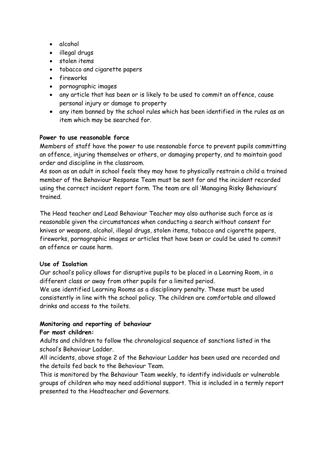- alcohol
- illegal drugs
- stolen items
- tobacco and cigarette papers
- fireworks
- pornographic images
- any article that has been or is likely to be used to commit an offence, cause personal injury or damage to property
- any item banned by the school rules which has been identified in the rules as an item which may be searched for.

#### **Power to use reasonable force**

Members of staff have the power to use reasonable force to prevent pupils committing an offence, injuring themselves or others, or damaging property, and to maintain good order and discipline in the classroom.

As soon as an adult in school feels they may have to physically restrain a child a trained member of the Behaviour Response Team must be sent for and the incident recorded using the correct incident report form. The team are all 'Managing Risky Behaviours' trained.

The Head teacher and Lead Behaviour Teacher may also authorise such force as is reasonable given the circumstances when conducting a search without consent for knives or weapons, alcohol, illegal drugs, stolen items, tobacco and cigarette papers, fireworks, pornographic images or articles that have been or could be used to commit an offence or cause harm.

#### **Use of Isolation**

Our school's policy allows for disruptive pupils to be placed in a Learning Room, in a different class or away from other pupils for a limited period.

We use identified Learning Rooms as a disciplinary penalty. These must be used consistently in line with the school policy. The children are comfortable and allowed drinks and access to the toilets.

#### **Monitoring and reporting of behaviour**

#### **For most children:**

Adults and children to follow the chronological sequence of sanctions listed in the school's Behaviour Ladder.

All incidents, above stage 2 of the Behaviour Ladder has been used are recorded and the details fed back to the Behaviour Team.

This is monitored by the Behaviour Team weekly, to identify individuals or vulnerable groups of children who may need additional support. This is included in a termly report presented to the Headteacher and Governors.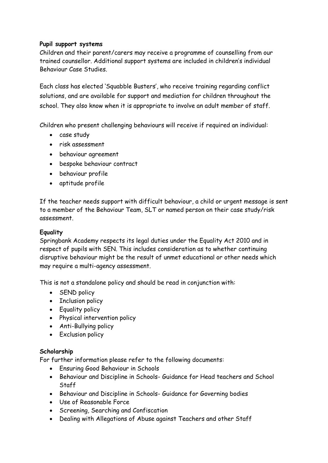#### **Pupil support systems**

Children and their parent/carers may receive a programme of counselling from our trained counsellor. Additional support systems are included in children's individual Behaviour Case Studies.

Each class has elected 'Squabble Busters', who receive training regarding conflict solutions, and are available for support and mediation for children throughout the school. They also know when it is appropriate to involve an adult member of staff.

Children who present challenging behaviours will receive if required an individual:

- case study
- risk assessment
- behaviour agreement
- bespoke behaviour contract
- behaviour profile
- aptitude profile

If the teacher needs support with difficult behaviour, a child or urgent message is sent to a member of the Behaviour Team, SLT or named person on their case study/risk assessment.

#### **Equality**

Springbank Academy respects its legal duties under the Equality Act 2010 and in respect of pupils with SEN. This includes consideration as to whether continuing disruptive behaviour might be the result of unmet educational or other needs which may require a multi-agency assessment.

This is not a standalone policy and should be read in conjunction with:

- SEND policy
- Inclusion policy
- Equality policy
- Physical intervention policy
- Anti-Bullying policy
- Exclusion policy

#### **Scholarship**

For further information please refer to the following documents:

- Ensuring Good Behaviour in Schools
- Behaviour and Discipline in Schools- Guidance for Head teachers and School Staff
- Behaviour and Discipline in Schools- Guidance for Governing bodies
- Use of Reasonable Force
- Screening, Searching and Confiscation
- Dealing with Allegations of Abuse against Teachers and other Staff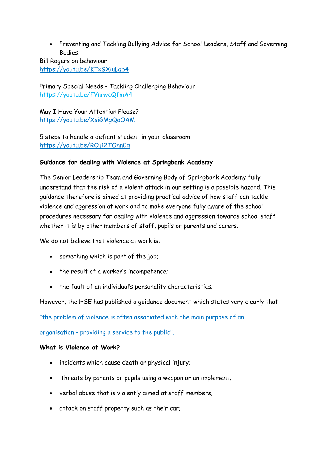Preventing and Tackling Bullying Advice for School Leaders, Staff and Governing Bodies.

Bill Rogers on behaviour <https://youtu.be/KTxGXiuLgb4>

Primary Special Needs - Tackling Challenging Behaviour https://youtu.be/FVnrwcQfmA4

May I Have Your Attention Please? <https://youtu.be/XsiGMgQoOAM>

5 steps to handle a defiant student in your classroom https://youtu.be/ROj12TOnn0g

#### **Guidance for dealing with Violence at Springbank Academy**

The Senior Leadership Team and Governing Body of Springbank Academy fully understand that the risk of a violent attack in our setting is a possible hazard. This guidance therefore is aimed at providing practical advice of how staff can tackle violence and aggression at work and to make everyone fully aware of the school procedures necessary for dealing with violence and aggression towards school staff whether it is by other members of staff, pupils or parents and carers.

We do not believe that violence at work is:

- something which is part of the job;
- the result of a worker's incompetence;
- the fault of an individual's personality characteristics.

However, the HSE has published a guidance document which states very clearly that:

"the problem of violence is often associated with the main purpose of an

organisation - providing a service to the public".

#### **What is Violence at Work?**

- incidents which cause death or physical injury;
- threats by parents or pupils using a weapon or an implement;
- verbal abuse that is violently aimed at staff members;
- attack on staff property such as their car;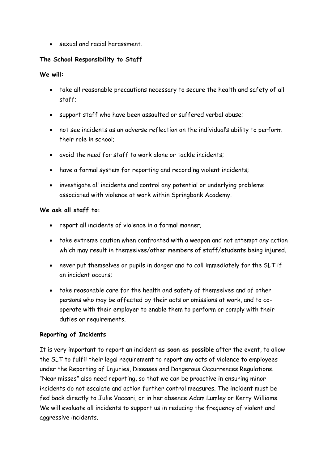sexual and racial harassment.

#### **The School Responsibility to Staff**

#### **We will:**

- take all reasonable precautions necessary to secure the health and safety of all staff;
- support staff who have been assaulted or suffered verbal abuse;
- not see incidents as an adverse reflection on the individual's ability to perform their role in school;
- avoid the need for staff to work alone or tackle incidents;
- have a formal system for reporting and recording violent incidents;
- investigate all incidents and control any potential or underlying problems associated with violence at work within Springbank Academy.

#### **We ask all staff to:**

- report all incidents of violence in a formal manner;
- take extreme caution when confronted with a weapon and not attempt any action which may result in themselves/other members of staff/students being injured.
- never put themselves or pupils in danger and to call immediately for the SLT if an incident occurs;
- take reasonable care for the health and safety of themselves and of other persons who may be affected by their acts or omissions at work, and to cooperate with their employer to enable them to perform or comply with their duties or requirements.

#### **Reporting of Incidents**

It is very important to report an incident **as soon as possible** after the event, to allow the SLT to fulfil their legal requirement to report any acts of violence to employees under the Reporting of Injuries, Diseases and Dangerous Occurrences Regulations. "Near misses" also need reporting, so that we can be proactive in ensuring minor incidents do not escalate and action further control measures. The incident must be fed back directly to Julie Vaccari, or in her absence Adam Lumley or Kerry Williams. We will evaluate all incidents to support us in reducing the frequency of violent and aggressive incidents.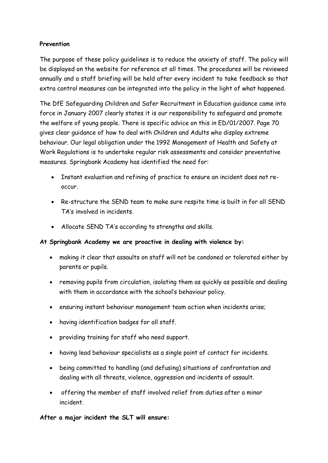#### **Prevention**

The purpose of these policy guidelines is to reduce the anxiety of staff. The policy will be displayed on the website for reference at all times. The procedures will be reviewed annually and a staff briefing will be held after every incident to take feedback so that extra control measures can be integrated into the policy in the light of what happened.

The DfE Safeguarding Children and Safer Recruitment in Education guidance came into force in January 2007 clearly states it is our responsibility to safeguard and promote the welfare of young people. There is specific advice on this in ED/01/2007. Page 70 gives clear guidance of how to deal with Children and Adults who display extreme behaviour. Our legal obligation under the 1992 Management of Health and Safety at Work Regulations is to undertake regular risk assessments and consider preventative measures. Springbank Academy has identified the need for:

- Instant evaluation and refining of practice to ensure an incident does not reoccur.
- Re-structure the SEND team to make sure respite time is built in for all SEND TA's involved in incidents.
- Allocate SEND TA's according to strengths and skills.

#### **At Springbank Academy we are proactive in dealing with violence by:**

- making it clear that assaults on staff will not be condoned or tolerated either by parents or pupils.
- removing pupils from circulation, isolating them as quickly as possible and dealing with them in accordance with the school's behaviour policy.
- ensuring instant behaviour management team action when incidents arise;
- having identification badges for all staff.
- providing training for staff who need support.
- having lead behaviour specialists as a single point of contact for incidents.
- being committed to handling (and defusing) situations of confrontation and dealing with all threats, violence, aggression and incidents of assault.
- offering the member of staff involved relief from duties after a minor incident.

**After a major incident the SLT will ensure:**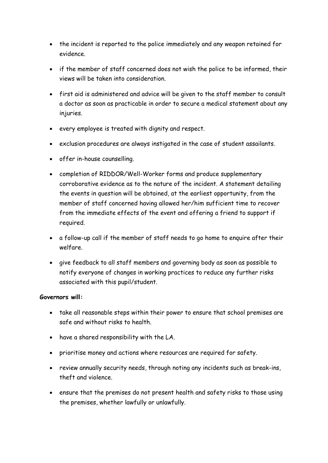- the incident is reported to the police immediately and any weapon retained for evidence.
- if the member of staff concerned does not wish the police to be informed, their views will be taken into consideration.
- first aid is administered and advice will be given to the staff member to consult a doctor as soon as practicable in order to secure a medical statement about any injuries.
- every employee is treated with dignity and respect.
- exclusion procedures are always instigated in the case of student assailants.
- offer in-house counselling.
- completion of RIDDOR/Well-Worker forms and produce supplementary corroborative evidence as to the nature of the incident. A statement detailing the events in question will be obtained, at the earliest opportunity, from the member of staff concerned having allowed her/him sufficient time to recover from the immediate effects of the event and offering a friend to support if required.
- a follow-up call if the member of staff needs to go home to enquire after their welfare.
- give feedback to all staff members and governing body as soon as possible to notify everyone of changes in working practices to reduce any further risks associated with this pupil/student.

#### **Governors will:**

- take all reasonable steps within their power to ensure that school premises are safe and without risks to health.
- have a shared responsibility with the LA.
- prioritise money and actions where resources are required for safety.
- review annually security needs, through noting any incidents such as break-ins, theft and violence.
- ensure that the premises do not present health and safety risks to those using the premises, whether lawfully or unlawfully.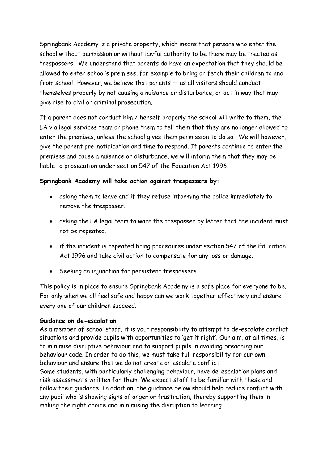Springbank Academy is a private property, which means that persons who enter the school without permission or without lawful authority to be there may be treated as trespassers. We understand that parents do have an expectation that they should be allowed to enter school's premises, for example to bring or fetch their children to and from school. However, we believe that parents — as all visitors should conduct themselves properly by not causing a nuisance or disturbance, or act in way that may give rise to civil or criminal prosecution.

If a parent does not conduct him / herself properly the school will write to them, the LA via legal services team or phone them to tell them that they are no longer allowed to enter the premises, unless the school gives them permission to do so. We will however, give the parent pre-notification and time to respond. If parents continue to enter the premises and cause a nuisance or disturbance, we will inform them that they may be liable to prosecution under section 547 of the Education Act 1996.

#### **Springbank Academy will take action against trespassers by:**

- asking them to leave and if they refuse informing the police immediately to remove the trespasser.
- asking the LA legal team to warn the trespasser by letter that the incident must not be repeated.
- if the incident is repeated bring procedures under section 547 of the Education Act 1996 and take civil action to compensate for any loss or damage.
- Seeking an injunction for persistent trespassers.

This policy is in place to ensure Springbank Academy is a safe place for everyone to be. For only when we all feel safe and happy can we work together effectively and ensure every one of our children succeed.

#### **Guidance on de-escalation**

As a member of school staff, it is your responsibility to attempt to de-escalate conflict situations and provide pupils with opportunities to 'get it right'. Our aim, at all times, is to minimise disruptive behaviour and to support pupils in avoiding breaching our behaviour code. In order to do this, we must take full responsibility for our own behaviour and ensure that we do not create or escalate conflict.

Some students, with particularly challenging behaviour, have de-escalation plans and risk assessments written for them. We expect staff to be familiar with these and follow their guidance. In addition, the guidance below should help reduce conflict with any pupil who is showing signs of anger or frustration, thereby supporting them in making the right choice and minimising the disruption to learning.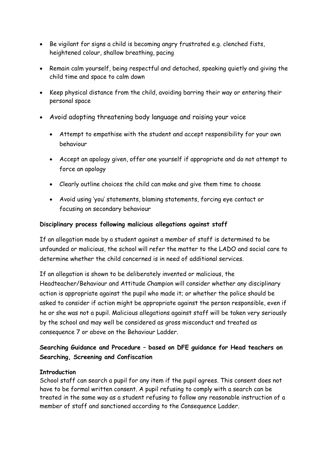- Be vigilant for signs a child is becoming angry frustrated e.g. clenched fists, heightened colour, shallow breathing, pacing
- Remain calm yourself, being respectful and detached, speaking quietly and giving the child time and space to calm down
- Keep physical distance from the child, avoiding barring their way or entering their personal space
- Avoid adopting threatening body language and raising your voice
	- Attempt to empathise with the student and accept responsibility for your own behaviour
	- Accept an apology given, offer one yourself if appropriate and do not attempt to force an apology
	- Clearly outline choices the child can make and give them time to choose
	- Avoid using 'you' statements, blaming statements, forcing eye contact or focusing on secondary behaviour

#### **Disciplinary process following malicious allegations against staff**

If an allegation made by a student against a member of staff is determined to be unfounded or malicious, the school will refer the matter to the LADO and social care to determine whether the child concerned is in need of additional services.

If an allegation is shown to be deliberately invented or malicious, the Headteacher/Behaviour and Attitude Champion will consider whether any disciplinary action is appropriate against the pupil who made it; or whether the police should be asked to consider if action might be appropriate against the person responsible, even if he or she was not a pupil. Malicious allegations against staff will be taken very seriously by the school and may well be considered as gross misconduct and treated as consequence 7 or above on the Behaviour Ladder.

#### **Searching Guidance and Procedure – based on DFE guidance for Head teachers on Searching, Screening and Confiscation**

#### **Introduction**

School staff can search a pupil for any item if the pupil agrees. This consent does not have to be formal written consent. A pupil refusing to comply with a search can be treated in the same way as a student refusing to follow any reasonable instruction of a member of staff and sanctioned according to the Consequence Ladder.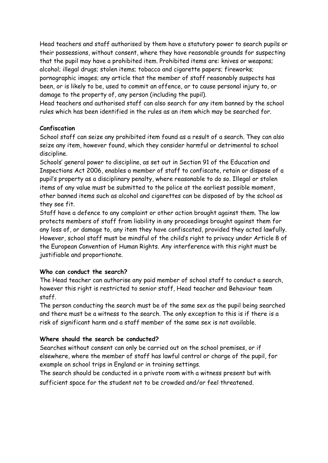Head teachers and staff authorised by them have a statutory power to search pupils or their possessions, without consent, where they have reasonable grounds for suspecting that the pupil may have a prohibited item. Prohibited items are: knives or weapons; alcohol; illegal drugs; stolen items; tobacco and cigarette papers; fireworks; pornographic images; any article that the member of staff reasonably suspects has been, or is likely to be, used to commit an offence, or to cause personal injury to, or damage to the property of, any person (including the pupil).

Head teachers and authorised staff can also search for any item banned by the school rules which has been identified in the rules as an item which may be searched for.

#### **Confiscation**

School staff can seize any prohibited item found as a result of a search. They can also seize any item, however found, which they consider harmful or detrimental to school discipline.

Schools' general power to discipline, as set out in Section 91 of the Education and Inspections Act 2006, enables a member of staff to confiscate, retain or dispose of a pupil's property as a disciplinary penalty, where reasonable to do so. Illegal or stolen items of any value must be submitted to the police at the earliest possible moment, other banned items such as alcohol and cigarettes can be disposed of by the school as they see fit.

Staff have a defence to any complaint or other action brought against them. The law protects members of staff from liability in any proceedings brought against them for any loss of, or damage to, any item they have confiscated, provided they acted lawfully. However, school staff must be mindful of the child's right to privacy under Article 8 of the European Convention of Human Rights. Any interference with this right must be justifiable and proportionate.

#### **Who can conduct the search?**

The Head teacher can authorise any paid member of school staff to conduct a search, however this right is restricted to senior staff, Head teacher and Behaviour team staff.

The person conducting the search must be of the same sex as the pupil being searched and there must be a witness to the search. The only exception to this is if there is a risk of significant harm and a staff member of the same sex is not available.

#### **Where should the search be conducted?**

Searches without consent can only be carried out on the school premises, or if elsewhere, where the member of staff has lawful control or charge of the pupil, for example on school trips in England or in training settings.

The search should be conducted in a private room with a witness present but with sufficient space for the student not to be crowded and/or feel threatened.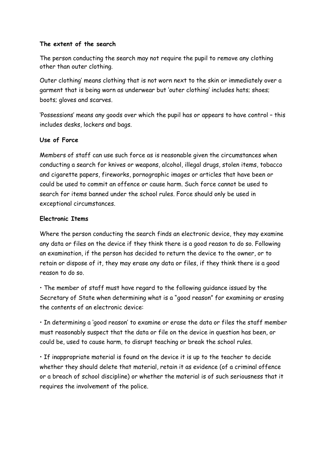#### **The extent of the search**

The person conducting the search may not require the pupil to remove any clothing other than outer clothing.

Outer clothing' means clothing that is not worn next to the skin or immediately over a garment that is being worn as underwear but 'outer clothing' includes hats; shoes; boots; gloves and scarves.

'Possessions' means any goods over which the pupil has or appears to have control – this includes desks, lockers and bags.

#### **Use of Force**

Members of staff can use such force as is reasonable given the circumstances when conducting a search for knives or weapons, alcohol, illegal drugs, stolen items, tobacco and cigarette papers, fireworks, pornographic images or articles that have been or could be used to commit an offence or cause harm. Such force cannot be used to search for items banned under the school rules. Force should only be used in exceptional circumstances.

#### **Electronic Items**

Where the person conducting the search finds an electronic device, they may examine any data or files on the device if they think there is a good reason to do so. Following an examination, if the person has decided to return the device to the owner, or to retain or dispose of it, they may erase any data or files, if they think there is a good reason to do so.

• The member of staff must have regard to the following guidance issued by the Secretary of State when determining what is a "good reason" for examining or erasing the contents of an electronic device:

• In determining a 'good reason' to examine or erase the data or files the staff member must reasonably suspect that the data or file on the device in question has been, or could be, used to cause harm, to disrupt teaching or break the school rules.

• If inappropriate material is found on the device it is up to the teacher to decide whether they should delete that material, retain it as evidence (of a criminal offence or a breach of school discipline) or whether the material is of such seriousness that it requires the involvement of the police.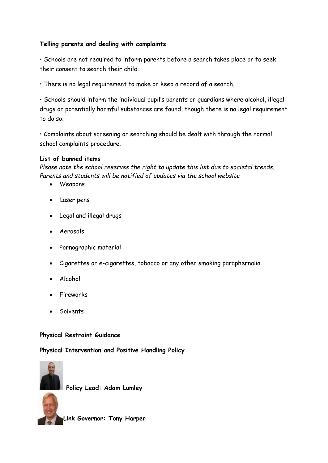#### **Telling parents and dealing with complaints**

• Schools are not required to inform parents before a search takes place or to seek their consent to search their child.

• There is no legal requirement to make or keep a record of a search.

• Schools should inform the individual pupil's parents or guardians where alcohol, illegal drugs or potentially harmful substances are found, though there is no legal requirement to do so.

• Complaints about screening or searching should be dealt with through the normal school complaints procedure.

#### **List of banned items**

*Please note the school reserves the right to update this list due to societal trends. Parents and students will be notified of updates via the school website* 

- Weapons
- Laser pens
- Legal and illegal drugs
- Aerosols
- Pornographic material
- Cigarettes or e-cigarettes, tobacco or any other smoking paraphernalia
- Alcohol
- Fireworks
- Solvents

#### **Physical Restraint Guidance**

#### **Physical Intervention and Positive Handling Policy**



**Policy Lead: Adam Lumley**

 **Link Governor: Tony Harper**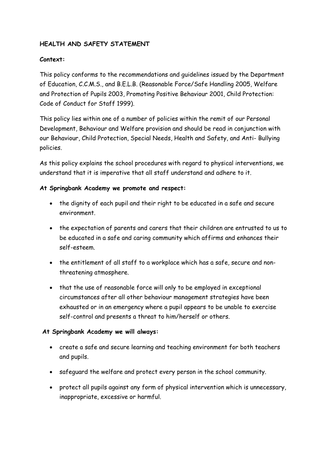#### **HEALTH AND SAFETY STATEMENT**

#### **Context:**

This policy conforms to the recommendations and guidelines issued by the Department of Education, C.C.M.S., and B.E.L.B. (Reasonable Force/Safe Handling 2005, Welfare and Protection of Pupils 2003, Promoting Positive Behaviour 2001, Child Protection: Code of Conduct for Staff 1999).

This policy lies within one of a number of policies within the remit of our Personal Development, Behaviour and Welfare provision and should be read in conjunction with our Behaviour, Child Protection, Special Needs, Health and Safety, and Anti- Bullying policies.

As this policy explains the school procedures with regard to physical interventions, we understand that it is imperative that all staff understand and adhere to it.

#### **At Springbank Academy we promote and respect:**

- the dignity of each pupil and their right to be educated in a safe and secure environment.
- the expectation of parents and carers that their children are entrusted to us to be educated in a safe and caring community which affirms and enhances their self-esteem.
- the entitlement of all staff to a workplace which has a safe, secure and nonthreatening atmosphere.
- that the use of reasonable force will only to be employed in exceptional circumstances after all other behaviour management strategies have been exhausted or in an emergency where a pupil appears to be unable to exercise self-control and presents a threat to him/herself or others.

#### **At Springbank Academy we will always:**

- create a safe and secure learning and teaching environment for both teachers and pupils.
- safeguard the welfare and protect every person in the school community.
- protect all pupils against any form of physical intervention which is unnecessary, inappropriate, excessive or harmful.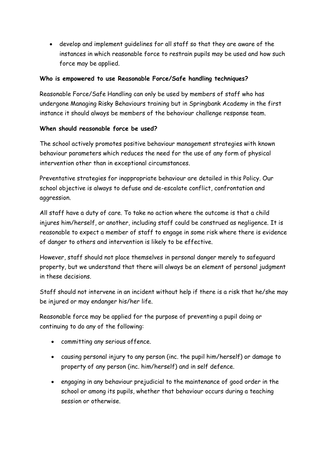develop and implement guidelines for all staff so that they are aware of the instances in which reasonable force to restrain pupils may be used and how such force may be applied.

#### **Who is empowered to use Reasonable Force/Safe handling techniques?**

Reasonable Force/Safe Handling can only be used by members of staff who has undergone Managing Risky Behaviours training but in Springbank Academy in the first instance it should always be members of the behaviour challenge response team.

#### **When should reasonable force be used?**

The school actively promotes positive behaviour management strategies with known behaviour parameters which reduces the need for the use of any form of physical intervention other than in exceptional circumstances.

Preventative strategies for inappropriate behaviour are detailed in this Policy. Our school objective is always to defuse and de-escalate conflict, confrontation and aggression.

All staff have a duty of care. To take no action where the outcome is that a child injures him/herself, or another, including staff could be construed as negligence. It is reasonable to expect a member of staff to engage in some risk where there is evidence of danger to others and intervention is likely to be effective.

However, staff should not place themselves in personal danger merely to safeguard property, but we understand that there will always be an element of personal judgment in these decisions.

Staff should not intervene in an incident without help if there is a risk that he/she may be injured or may endanger his/her life.

Reasonable force may be applied for the purpose of preventing a pupil doing or continuing to do any of the following:

- committing any serious offence.
- causing personal injury to any person (inc. the pupil him/herself) or damage to property of any person (inc. him/herself) and in self defence.
- engaging in any behaviour prejudicial to the maintenance of good order in the school or among its pupils, whether that behaviour occurs during a teaching session or otherwise.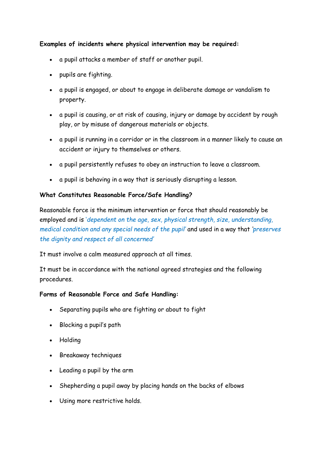#### **Examples of incidents where physical intervention may be required:**

- a pupil attacks a member of staff or another pupil.
- pupils are fighting.
- a pupil is engaged, or about to engage in deliberate damage or vandalism to property.
- a pupil is causing, or at risk of causing, injury or damage by accident by rough play, or by misuse of dangerous materials or objects.
- a pupil is running in a corridor or in the classroom in a manner likely to cause an accident or injury to themselves or others.
- a pupil persistently refuses to obey an instruction to leave a classroom.
- a pupil is behaving in a way that is seriously disrupting a lesson.

#### **What Constitutes Reasonable Force/Safe Handling?**

Reasonable force is the minimum intervention or force that should reasonably be employed and is '*dependent on the age, sex, physical strength, size, understanding, medical condition and any special needs of the pupil'* and used in a way that *'preserves the dignity and respect of all concerned'*

It must involve a calm measured approach at all times.

It must be in accordance with the national agreed strategies and the following procedures.

#### **Forms of Reasonable Force and Safe Handling:**

- Separating pupils who are fighting or about to fight
- Blocking a pupil's path
- Holding
- Breakaway techniques
- Leading a pupil by the arm
- Shepherding a pupil away by placing hands on the backs of elbows
- Using more restrictive holds.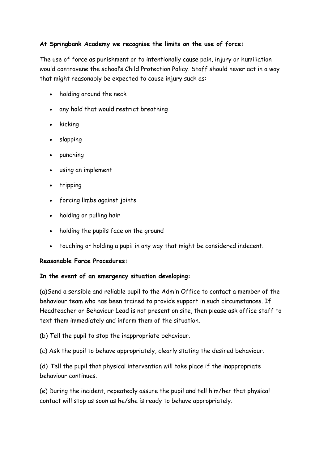#### **At Springbank Academy we recognise the limits on the use of force:**

The use of force as punishment or to intentionally cause pain, injury or humiliation would contravene the school's Child Protection Policy. Staff should never act in a way that might reasonably be expected to cause injury such as:

- holding around the neck
- any hold that would restrict breathing
- $\bullet$  kicking
- slapping
- punching
- using an implement
- tripping
- forcing limbs against joints
- holding or pulling hair
- holding the pupils face on the ground
- touching or holding a pupil in any way that might be considered indecent.

#### **Reasonable Force Procedures:**

#### **In the event of an emergency situation developing:**

(a)Send a sensible and reliable pupil to the Admin Office to contact a member of the behaviour team who has been trained to provide support in such circumstances. If Headteacher or Behaviour Lead is not present on site, then please ask office staff to text them immediately and inform them of the situation.

(b) Tell the pupil to stop the inappropriate behaviour.

(c) Ask the pupil to behave appropriately, clearly stating the desired behaviour.

(d) Tell the pupil that physical intervention will take place if the inappropriate behaviour continues.

(e) During the incident, repeatedly assure the pupil and tell him/her that physical contact will stop as soon as he/she is ready to behave appropriately.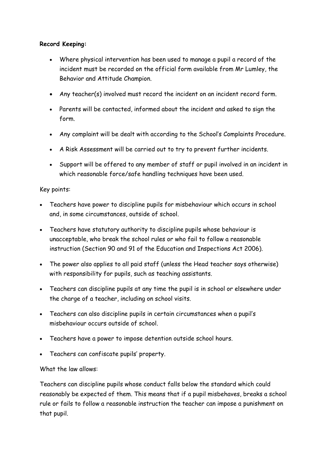#### **Record Keeping:**

- Where physical intervention has been used to manage a pupil a record of the incident must be recorded on the official form available from Mr Lumley, the Behavior and Attitude Champion.
- Any teacher(s) involved must record the incident on an incident record form.
- Parents will be contacted, informed about the incident and asked to sign the form.
- Any complaint will be dealt with according to the School's Complaints Procedure.
- A Risk Assessment will be carried out to try to prevent further incidents.
- Support will be offered to any member of staff or pupil involved in an incident in which reasonable force/safe handling techniques have been used.

#### Key points:

- Teachers have power to discipline pupils for misbehaviour which occurs in school and, in some circumstances, outside of school.
- Teachers have statutory authority to discipline pupils whose behaviour is unacceptable, who break the school rules or who fail to follow a reasonable instruction (Section 90 and 91 of the Education and Inspections Act 2006).
- The power also applies to all paid staff (unless the Head teacher says otherwise) with responsibility for pupils, such as teaching assistants.
- Teachers can discipline pupils at any time the pupil is in school or elsewhere under the charge of a teacher, including on school visits.
- Teachers can also discipline pupils in certain circumstances when a pupil's misbehaviour occurs outside of school.
- Teachers have a power to impose detention outside school hours.
- Teachers can confiscate pupils' property.

#### What the law allows:

Teachers can discipline pupils whose conduct falls below the standard which could reasonably be expected of them. This means that if a pupil misbehaves, breaks a school rule or fails to follow a reasonable instruction the teacher can impose a punishment on that pupil.